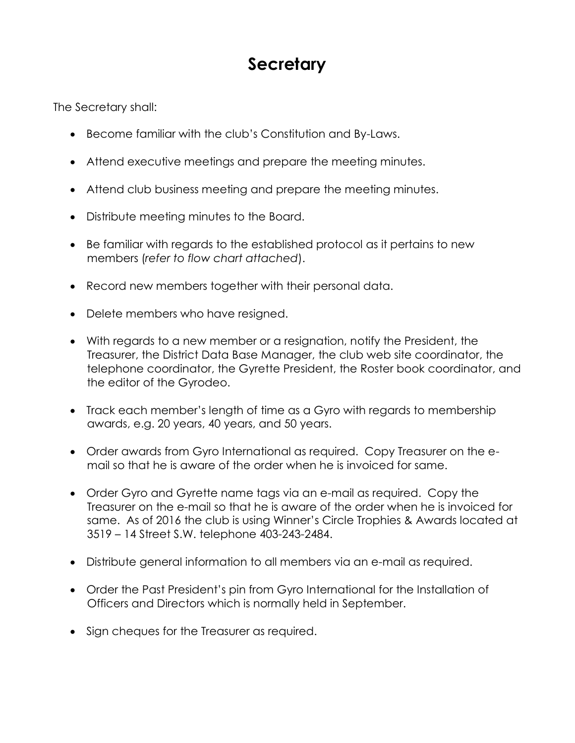## **Secretary**

The Secretary shall:

- Become familiar with the club's Constitution and By-Laws.
- Attend executive meetings and prepare the meeting minutes.
- Attend club business meeting and prepare the meeting minutes.
- Distribute meeting minutes to the Board.
- Be familiar with regards to the established protocol as it pertains to new members (*refer to flow chart attached*).
- Record new members together with their personal data.
- Delete members who have resigned.
- With regards to a new member or a resignation, notify the President, the Treasurer, the District Data Base Manager, the club web site coordinator, the telephone coordinator, the Gyrette President, the Roster book coordinator, and the editor of the Gyrodeo.
- Track each member's length of time as a Gyro with regards to membership awards, e.g. 20 years, 40 years, and 50 years.
- Order awards from Gyro International as required. Copy Treasurer on the email so that he is aware of the order when he is invoiced for same.
- Order Gyro and Gyrette name tags via an e-mail as required. Copy the Treasurer on the e-mail so that he is aware of the order when he is invoiced for same. As of 2016 the club is using Winner's Circle Trophies & Awards located at 3519 – 14 Street S.W. telephone 403-243-2484.
- Distribute general information to all members via an e-mail as required.
- Order the Past President's pin from Gyro International for the Installation of Officers and Directors which is normally held in September.
- Sign cheques for the Treasurer as required.